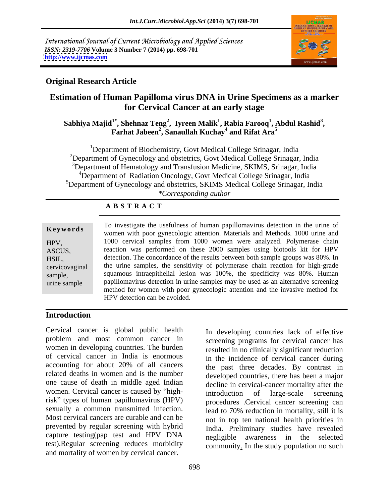International Journal of Current Microbiology and Applied Sciences *ISSN: 2319-7706* **Volume 3 Number 7 (2014) pp. 698-701 <http://www.ijcmas.com>**



## **Original Research Article**

# **Estimation of Human Papilloma virus DNA in Urine Specimens as a marker for Cervical Cancer at an early stage**

### $\bold{S}$ abhiya Majid<sup>1\*</sup>, Shehnaz Teng<sup>2</sup>, Iyreen Malik<sup>1</sup>, Rabia Farooq<sup>1</sup>, Abdul Rashid<sup>3</sup>, Farhat Jabeen<sup>2</sup>, Sanaullah Kuchay<sup>4</sup> and Rifat Ara<sup>5</sup> **, Abdul Rashid<sup>3</sup> Farhat Jabeen<sup>2</sup>, Sanaullah Kuchay<sup>4</sup> and Rifat Ara<sup>5</sup> and Rifat Ara<sup>5</sup>**

<sup>1</sup>Department of Biochemistry, Govt Medical College Srinagar, India <sup>2</sup>Department of Gynecology and obstetrics, Govt Medical College Srinagar, India <sup>3</sup>Department of Hematology and Transfusion Medicine, SKIMS, Srinagar, India <sup>4</sup>Department of Radiation Oncology, Govt Medical College Srinagar, India <sup>5</sup>Department of Gynecology and obstetrics, SKIMS Medical College Srinagar, India *\*Corresponding author* 

### **A B S T R A C T**

**Keywords Reprise 10** Investigate the userumess of namally papmomavirus detection in the time of women with poor gynecologic attention. Materials and Methods. 1000 urine and HPV, 1000 cervical samples from 1000 women were analyzed. Polymerase chain ASCUS, reaction was performed on these 2000 samples using biotools kit for HPV HSIL, detection. The concordance of the results between both sample groups was 80%. In cervicovaginal the urine samples, the sensitivity of polymerase chain reaction for high-grade sample, squamous intraepithelial lesion was 100%, the specificity was 80%. Human urine sample papillomavirus detection in urine samples may be used as an alternative screening To investigate the usefulness of human papillomavirus detection in the urine of method for women with poor gynecologic attention and the invasive method for HPV detection can be avoided.

### **Introduction**

Cervical cancer is global public health problem and most common cancer in women in developing countries. The burden of cervical cancer in India is enormous accounting for about 20% of all cancers the past three decades. By contrast in related deaths in women and is the number developed countries, there has been a major one cause of death in middle aged Indian women. Cervical cancer is caused by "high-<br>introduction of large-scale screening risk" types of human papillomavirus (HPV) sexually a common transmitted infection. Most cervical cancers are curable and can be prevented by regular screening with hybrid capture testing(pap test and HPV DNA negligible awareness in the selected test).Regular screening reduces morbidity and mortality of women by cervical cancer.

In developing countries lack of effective screening programs for cervical cancer has resulted in no clinically significant reduction in the incidence of cervical cancer during the past three decades. By contrast in decline in cervical-cancer mortality after the introduction of large-scale screening procedures .Cervical cancer screening can lead to 70% reduction in mortality, still it is not in top ten national health priorities in India. Preliminary studies have revealed community. In the study population no such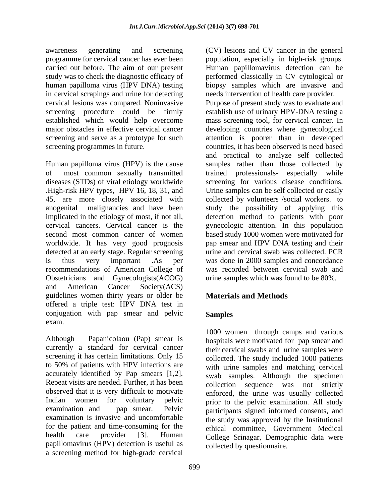awareness generating and screening (CV) lesions and CV cancer in the general programme for cervical cancer has ever been population, especially in high-risk groups. carried out before. The aim of our present Human papillomavirus detection can be study was to check the diagnostic efficacy of performed classically in CV cytological or human papilloma virus (HPV DNA) testing biopsy samples which are invasive and in cervical scrapings and urine for detecting cervical lesions was compared. Noninvasive Purpose of present study was to evaluate and established which would help overcome

Human papilloma virus (HPV) is the cause diseases (STDs) of viral etiology worldwide detected at an early stage. Regular screening recommendations of American College of Obstetricians and Gynecologists(ACOG) and American Cancer Society(ACS) guidelines women thirty years or older be offered a triple test: HPV DNA test in conjugation with pap smear and pelvic Samples exam.

Although Papanicolaou (Pap) smear is hospitals were motivated for pap smear and currently a standard for cervical cancer screening it has certain limitations. Only 15 to 50% of patients with HPV infections are with urine samples and matching cervical accurately identified by Pap smears [1,2]. Repeat visits are needed. Further, it has been observed that it is very difficult to motivate Indian women for voluntary pelvic prior to the pelvic examination. All study examination and pap smear. Pelvic participants signed informed consents, and examination is invasive and uncomfortable the study was approved by the Institutional for the patient and time-consuming for the health care provider [3]. Human College Srinagar. Demographic data were papillomavirus (HPV) detection is useful as a screening method for high-grade cervical

needs intervention of health care provider.

screening procedure could be firmly establish use of urinary HPV-DNA testing a major obstacles in effective cervical cancer developing countries where gynecological screening and serve as a prototype for such attention is poorer than in developed screening programmes in future. countries, it has been observed is need based of most common sexually transmitted trained professionals- especially while .High-risk HPV types, HPV 16, 18, 31, and Urine samples can be self collected or easily 45, are more closely associated with collected by volunteers /social workers. to anogenital malignancies and have been study the possibility of applying this implicated in the etiology of most, if not all, detection method to patients with poor cervical cancers. Cervical cancer is the gynecologic attention. In this population second most common cancer of women based study 1000 women were motivated for worldwide. It has very good prognosis pap smear and HPV DNA testing and their is thus very important .As per was done in 2000 samples and concordance mass screening tool, for cervical cancer. In and practical to analyze self collected samples rather than those collected by screening for various disease conditions. urine and cervical swab was collected. PCR was recorded between cervical swab and urine samples which was found to be 80%.

# **Materials and Methods**

## **Samples**

1000 women through camps and various their cervical swabs and urine samples were collected. The study included 1000 patients swab samples. Although the specimen collection sequence was not strictly enforced, the urine was usually collected ethical committee, Government Medical collected by questionnaire.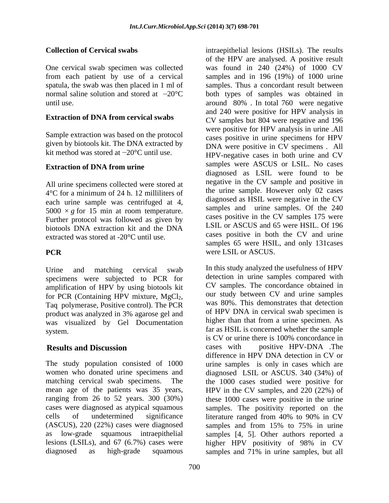One cervical swab specimen was collected from each patient by use of a cervical<br>spatula, the swab was then placed in 1 ml of

### **Extraction of DNA from cervical swabs**

Sample extraction was based on the protocol given by biotools kit. The DNA extracted by kit method was stored at  $-20^{\circ}$ C until use.

### **Extraction of DNA from urine**

All urine specimens collected were stored at 4°C for a minimum of 24 h. 12 milliliters of each urine sample was centrifuged at 4, 5000  $\times$  *g* for 15 min at room temperature. Further protocol was followed as given by biotools DNA extraction kit and the DNA extracted was stored at -20°C until use.

specimens were subjected to PCR for amplification of HPV by using biotools kit for PCR (Containing HPV mixture,  $MgCl<sub>2</sub>$ , Taq polymerase, Positive control). The PCR product was analyzed in 3% agarose gel and was visualized by Gel Documentation

cells of undetermined significance literature ranged from 40% to 90% in CV

**Collection of Cervical swabs** intraepithelial lesions (HSILs). The results spatula, the swab was then placed in 1 ml of samples. Thus a concordant result between normal saline solution and stored at  $-20^{\circ}\text{C}$  both types of samples was obtained in until use. around 80% . In total 760 were negative **PCR** were LSIL or ASCUS. of the HPV are analysed. A positive result was found in 240 (24%) of 1000 CV samples and in 196 (19%) of 1000 urine and 240 were positive for HPV analysis in CV samples but 804 were negative and 196 were positive for HPV analysis in urine .All cases positive in urine specimens for HPV DNA were positive in CV specimens . All HPV-negative cases in both urine and CV samples were ASCUS or LSIL. No cases diagnosed as LSIL were found to be negative in the CV sample and positive in the urine sample. However only 02 cases diagnosed as HSIL were negative in the CV samples and urine samples. Of the 240 cases positive in the CV samples 175 were LSIL or ASCUS and 65 were HSIL. Of 196 cases positive in both the CV and urine samples 65 were HSIL, and only 131cases were LSIL or ASCUS.

Urine and matching cervical swab In this study analyzed the usefulness of HPV system. **Results and Discussion** cases with positive HPV-DNA .The The study population consisted of 1000 urine samples is only in cases which are women who donated urine specimens and diagnosed LSIL or ASCUS. 340 (34%) of matching cervical swab specimens. The the 1000 cases studied were positive for mean age of the patients was 35 years, HPV in the CV samples, and 220 (22%) of ranging from 26 to 52 years. 300 (30%) these 1000 cases were positive in the urine cases were diagnosed as atypical squamous samples. The positivity reported on the (ASCUS), 220 (22%) cases were diagnosed samples and from 15% to 75% in urine as low-grade squamous intraepithelial samples [4, 5]. Other authors reported a lesions (LSILs), and 67 (6.7%) cases were higher HPV positivity of 98% in CV diagnosed as high-grade squamous samples and 71% in urine samples, but alldetection in urine samples compared with CV samples. The concordance obtained in our study between CV and urine samples was 80%. This demonstrates that detection of HPV DNA in cervical swab specimen is higher than that from a urine specimen. As is CV or urine there is 100% concordance in cases with positive HPV-DNA .The difference in HPV DNA detection in CV or literature ranged from 40% to 90% in CV